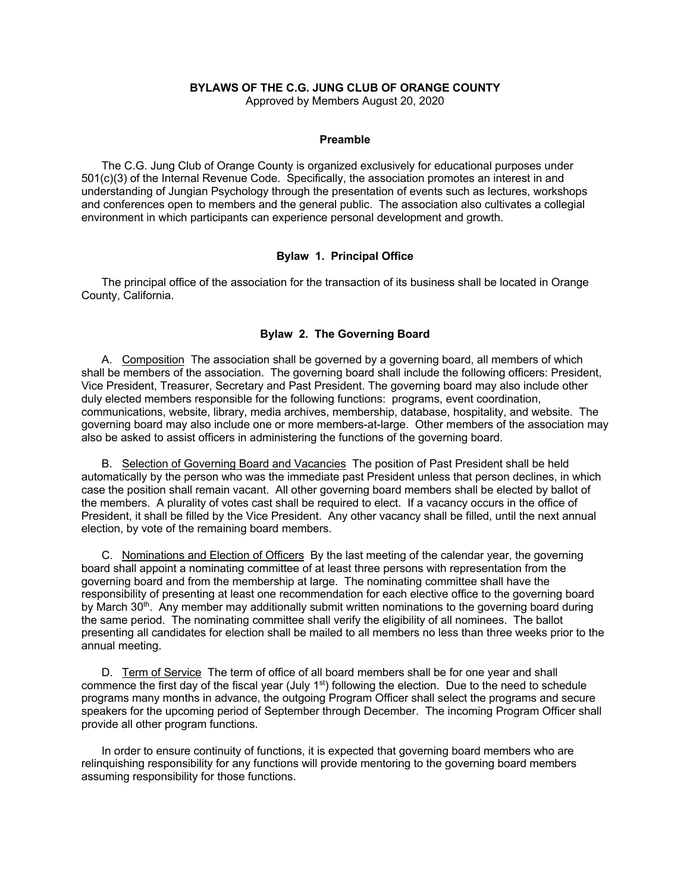### **BYLAWS OF THE C.G. JUNG CLUB OF ORANGE COUNTY**

Approved by Members August 20, 2020

#### **Preamble**

The C.G. Jung Club of Orange County is organized exclusively for educational purposes under 501(c)(3) of the Internal Revenue Code. Specifically, the association promotes an interest in and understanding of Jungian Psychology through the presentation of events such as lectures, workshops and conferences open to members and the general public. The association also cultivates a collegial environment in which participants can experience personal development and growth.

### **Bylaw 1. Principal Office**

The principal office of the association for the transaction of its business shall be located in Orange County, California.

# **Bylaw 2. The Governing Board**

A. Composition The association shall be governed by a governing board, all members of which shall be members of the association. The governing board shall include the following officers: President, Vice President, Treasurer, Secretary and Past President. The governing board may also include other duly elected members responsible for the following functions: programs, event coordination, communications, website, library, media archives, membership, database, hospitality, and website. The governing board may also include one or more members-at-large. Other members of the association may also be asked to assist officers in administering the functions of the governing board.

B. Selection of Governing Board and Vacancies The position of Past President shall be held automatically by the person who was the immediate past President unless that person declines, in which case the position shall remain vacant. All other governing board members shall be elected by ballot of the members. A plurality of votes cast shall be required to elect. If a vacancy occurs in the office of President, it shall be filled by the Vice President. Any other vacancy shall be filled, until the next annual election, by vote of the remaining board members.

C. Nominations and Election of Officers By the last meeting of the calendar year, the governing board shall appoint a nominating committee of at least three persons with representation from the governing board and from the membership at large. The nominating committee shall have the responsibility of presenting at least one recommendation for each elective office to the governing board by March 30<sup>th</sup>. Any member may additionally submit written nominations to the governing board during the same period. The nominating committee shall verify the eligibility of all nominees. The ballot presenting all candidates for election shall be mailed to all members no less than three weeks prior to the annual meeting.

D. Term of Service The term of office of all board members shall be for one year and shall commence the first day of the fiscal year (July  $1<sup>st</sup>$ ) following the election. Due to the need to schedule programs many months in advance, the outgoing Program Officer shall select the programs and secure speakers for the upcoming period of September through December. The incoming Program Officer shall provide all other program functions.

In order to ensure continuity of functions, it is expected that governing board members who are relinquishing responsibility for any functions will provide mentoring to the governing board members assuming responsibility for those functions.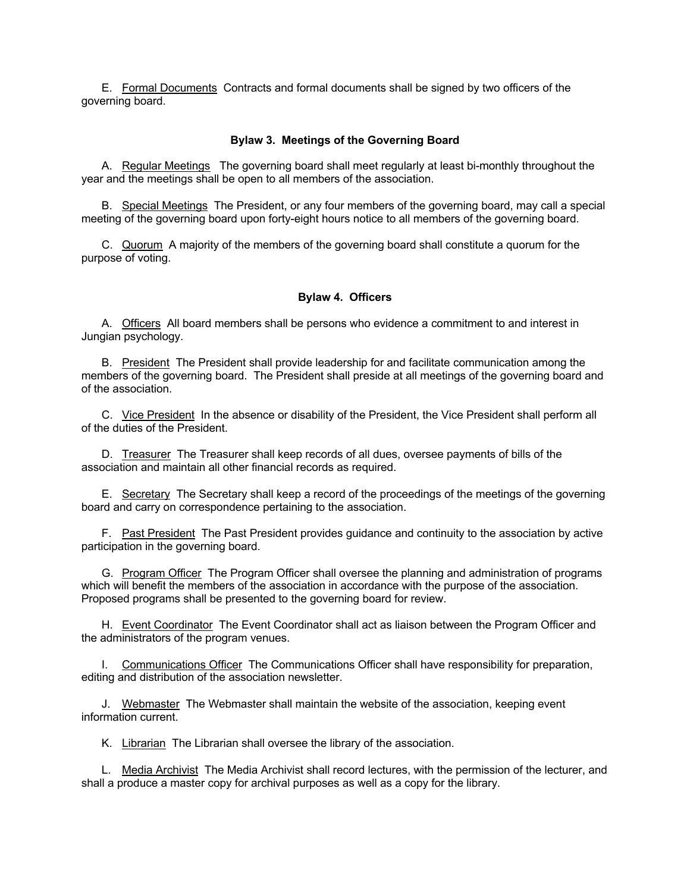E. Formal Documents Contracts and formal documents shall be signed by two officers of the governing board.

### **Bylaw 3. Meetings of the Governing Board**

A. Regular Meetings The governing board shall meet regularly at least bi-monthly throughout the year and the meetings shall be open to all members of the association.

B. Special Meetings The President, or any four members of the governing board, may call a special meeting of the governing board upon forty-eight hours notice to all members of the governing board.

C. Quorum A majority of the members of the governing board shall constitute a quorum for the purpose of voting.

### **Bylaw 4. Officers**

A. Officers All board members shall be persons who evidence a commitment to and interest in Jungian psychology.

B. President The President shall provide leadership for and facilitate communication among the members of the governing board. The President shall preside at all meetings of the governing board and of the association.

C. Vice President In the absence or disability of the President, the Vice President shall perform all of the duties of the President.

D. Treasurer The Treasurer shall keep records of all dues, oversee payments of bills of the association and maintain all other financial records as required.

E. Secretary The Secretary shall keep a record of the proceedings of the meetings of the governing board and carry on correspondence pertaining to the association.

F. Past President The Past President provides guidance and continuity to the association by active participation in the governing board.

G. Program Officer The Program Officer shall oversee the planning and administration of programs which will benefit the members of the association in accordance with the purpose of the association. Proposed programs shall be presented to the governing board for review.

H. Event Coordinator The Event Coordinator shall act as liaison between the Program Officer and the administrators of the program venues.

I. Communications Officer The Communications Officer shall have responsibility for preparation, editing and distribution of the association newsletter.

J. Webmaster The Webmaster shall maintain the website of the association, keeping event information current.

K. Librarian The Librarian shall oversee the library of the association.

L. Media Archivist The Media Archivist shall record lectures, with the permission of the lecturer, and shall a produce a master copy for archival purposes as well as a copy for the library.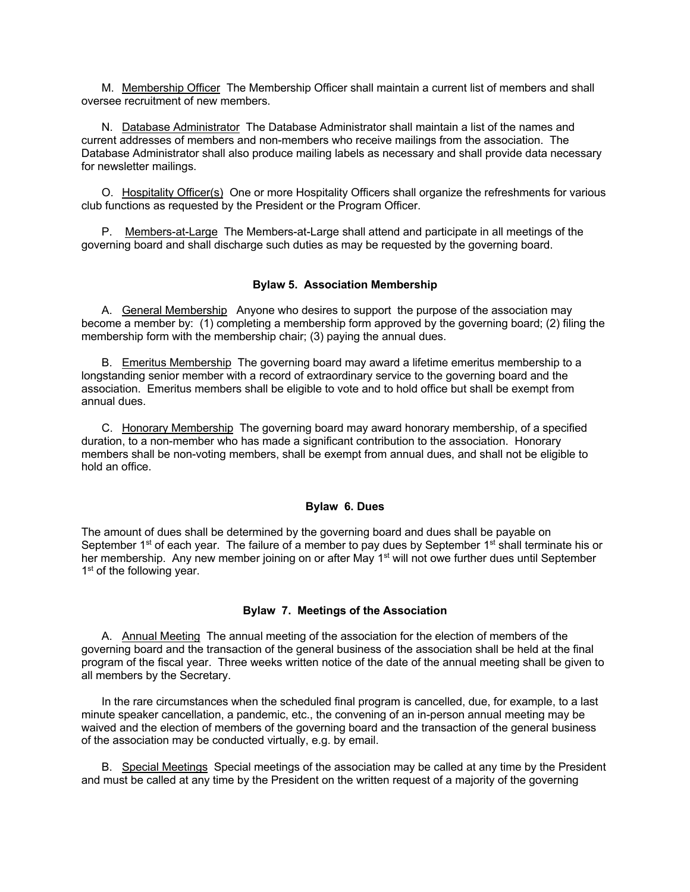M. Membership Officer The Membership Officer shall maintain a current list of members and shall oversee recruitment of new members.

N. Database Administrator The Database Administrator shall maintain a list of the names and current addresses of members and non-members who receive mailings from the association. The Database Administrator shall also produce mailing labels as necessary and shall provide data necessary for newsletter mailings.

O. Hospitality Officer(s) One or more Hospitality Officers shall organize the refreshments for various club functions as requested by the President or the Program Officer.

P. Members-at-Large The Members-at-Large shall attend and participate in all meetings of the governing board and shall discharge such duties as may be requested by the governing board.

# **Bylaw 5. Association Membership**

A. General Membership Anyone who desires to support the purpose of the association may become a member by: (1) completing a membership form approved by the governing board; (2) filing the membership form with the membership chair; (3) paying the annual dues.

B. Emeritus Membership The governing board may award a lifetime emeritus membership to a longstanding senior member with a record of extraordinary service to the governing board and the association. Emeritus members shall be eligible to vote and to hold office but shall be exempt from annual dues.

C. Honorary Membership The governing board may award honorary membership, of a specified duration, to a non-member who has made a significant contribution to the association. Honorary members shall be non-voting members, shall be exempt from annual dues, and shall not be eligible to hold an office.

#### **Bylaw 6. Dues**

The amount of dues shall be determined by the governing board and dues shall be payable on September 1<sup>st</sup> of each year. The failure of a member to pay dues by September 1<sup>st</sup> shall terminate his or her membership. Any new member joining on or after May 1<sup>st</sup> will not owe further dues until September 1<sup>st</sup> of the following year.

### **Bylaw 7. Meetings of the Association**

A. Annual MeetingThe annual meeting of the association for the election of members of the governing board and the transaction of the general business of the association shall be held at the final program of the fiscal year. Three weeks written notice of the date of the annual meeting shall be given to all members by the Secretary.

In the rare circumstances when the scheduled final program is cancelled, due, for example, to a last minute speaker cancellation, a pandemic, etc., the convening of an in-person annual meeting may be waived and the election of members of the governing board and the transaction of the general business of the association may be conducted virtually, e.g. by email.

B. Special Meetings Special meetings of the association may be called at any time by the President and must be called at any time by the President on the written request of a majority of the governing